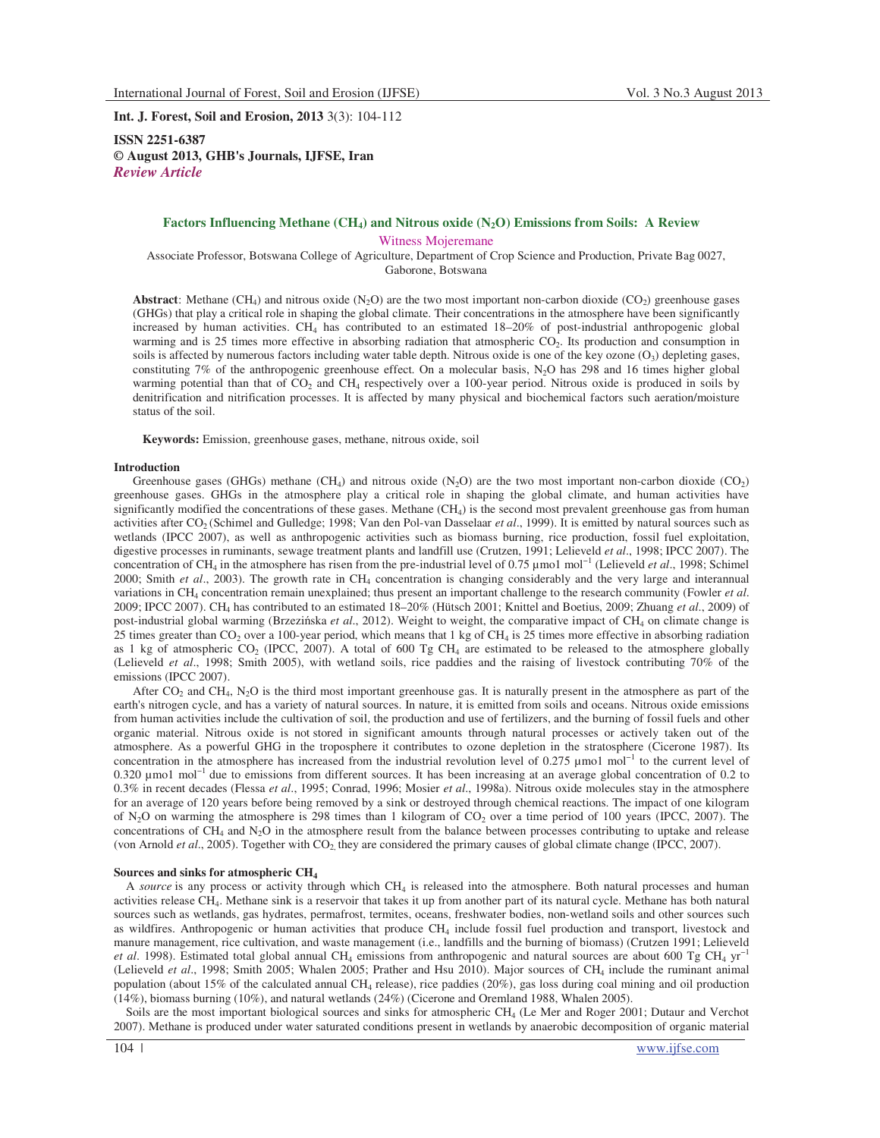**Int. J. Forest, Soil and Erosion, 2013** 3(3): 104-112

**ISSN 2251-6387 © August 2013, GHB's Journals, IJFSE, Iran** *Review Article* 

### **Factors Influencing Methane (CH4) and Nitrous oxide (N2O) Emissions from Soils: A Review**

Witness Mojeremane

Associate Professor, Botswana College of Agriculture, Department of Crop Science and Production, Private Bag 0027, Gaborone, Botswana

**Abstract**: Methane (CH<sub>4</sub>) and nitrous oxide  $(N_2O)$  are the two most important non-carbon dioxide (CO<sub>2</sub>) greenhouse gases (GHGs) that play a critical role in shaping the global climate. Their concentrations in the atmosphere have been significantly increased by human activities. CH<sup>4</sup> has contributed to an estimated 18–20% of post-industrial anthropogenic global warming and is  $25$  times more effective in absorbing radiation that atmospheric  $CO<sub>2</sub>$ . Its production and consumption in soils is affected by numerous factors including water table depth. Nitrous oxide is one of the key ozone  $(O_3)$  depleting gases, constituting 7% of the anthropogenic greenhouse effect. On a molecular basis, N2O has 298 and 16 times higher global warming potential than that of  $CO<sub>2</sub>$  and  $CH<sub>4</sub>$  respectively over a 100-year period. Nitrous oxide is produced in soils by denitrification and nitrification processes. It is affected by many physical and biochemical factors such aeration/moisture status of the soil.

**Keywords:** Emission, greenhouse gases, methane, nitrous oxide, soil

### **Introduction**

Greenhouse gases (GHGs) methane (CH<sub>4</sub>) and nitrous oxide  $(N_2O)$  are the two most important non-carbon dioxide (CO<sub>2</sub>) greenhouse gases. GHGs in the atmosphere play a critical role in shaping the global climate, and human activities have significantly modified the concentrations of these gases. Methane (CH<sub>4</sub>) is the second most prevalent greenhouse gas from human activities after CO<sub>2</sub> (Schimel and Gulledge; 1998; Van den Pol-van Dasselaar *et al.*, 1999). It is emitted by natural sources such as wetlands (IPCC 2007), as well as anthropogenic activities such as biomass burning, rice production, fossil fuel exploitation, digestive processes in ruminants, sewage treatment plants and landfill use (Crutzen, 1991; Lelieveld *et al*., 1998; IPCC 2007). The concentration of CH<sup>4</sup> in the atmosphere has risen from the pre-industrial level of 0.75 µmo1 mol−1 (Lelieveld *et al*., 1998; Schimel 2000; Smith et al., 2003). The growth rate in CH<sub>4</sub> concentration is changing considerably and the very large and interannual variations in CH<sub>4</sub> concentration remain unexplained; thus present an important challenge to the research community (Fowler *et al.*) 2009; IPCC 2007). CH<sup>4</sup> has contributed to an estimated 18–20% (Hütsch 2001; Knittel and Boetius, 2009; Zhuang *et al*., 2009) of post-industrial global warming (Brzezińska *et al.*, 2012). Weight to weight, the comparative impact of CH<sub>4</sub> on climate change is 25 times greater than  $CO_2$  over a 100-year period, which means that 1 kg of CH<sub>4</sub> is 25 times more effective in absorbing radiation as 1 kg of atmospheric  $CO_2$  (IPCC, 2007). A total of 600 Tg CH<sub>4</sub> are estimated to be released to the atmosphere globally (Lelieveld *et al*., 1998; Smith 2005), with wetland soils, rice paddies and the raising of livestock contributing 70% of the emissions (IPCC 2007).

After  $CO_2$  and  $CH_4$ ,  $N_2O$  is the third most important greenhouse gas. It is naturally present in the atmosphere as part of the earth's nitrogen cycle, and has a variety of natural sources. In nature, it is emitted from soils and oceans. Nitrous oxide emissions from human activities include the cultivation of soil, the production and use of fertilizers, and the burning of fossil fuels and other organic material. Nitrous oxide is not stored in significant amounts through natural processes or actively taken out of the atmosphere. As a powerful GHG in the troposphere it contributes to ozone depletion in the stratosphere (Cicerone 1987). Its concentration in the atmosphere has increased from the industrial revolution level of  $0.275 \mu$  mo1 mol<sup>-1</sup> to the current level of 0.320 µmo1 mol−1 due to emissions from different sources. It has been increasing at an average global concentration of 0.2 to 0.3% in recent decades (Flessa *et al*., 1995; Conrad, 1996; Mosier *et al*., 1998a). Nitrous oxide molecules stay in the atmosphere for an average of 120 years before being removed by a sink or destroyed through chemical reactions. The impact of one kilogram of  $N_2O$  on warming the atmosphere is 298 times than 1 kilogram of  $CO_2$  over a time period of 100 years (IPCC, 2007). The concentrations of  $CH_4$  and  $N_2O$  in the atmosphere result from the balance between processes contributing to uptake and release (von Arnold *et al.*, 2005). Together with CO<sub>2</sub> they are considered the primary causes of global climate change (IPCC, 2007).

## **Sources and sinks for atmospheric CH<sup>4</sup>**

A *source* is any process or activity through which CH<sub>4</sub> is released into the atmosphere. Both natural processes and human activities release CH<sub>4</sub>. Methane sink is a reservoir that takes it up from another part of its natural cycle. Methane has both natural sources such as wetlands, gas hydrates, permafrost, termites, oceans, freshwater bodies, non-wetland soils and other sources such as wildfires. Anthropogenic or human activities that produce CH<sub>4</sub> include fossil fuel production and transport, livestock and manure management, rice cultivation, and waste management (i.e., landfills and the burning of biomass) (Crutzen 1991; Lelieveld *et al.* 1998). Estimated total global annual CH<sub>4</sub> emissions from anthropogenic and natural sources are about 600 Tg CH<sub>4</sub> yr<sup>-1</sup> (Lelieveld *et al*., 1998; Smith 2005; Whalen 2005; Prather and Hsu 2010). Major sources of CH<sup>4</sup> include the ruminant animal population (about 15% of the calculated annual CH<sup>4</sup> release), rice paddies (20%), gas loss during coal mining and oil production (14%), biomass burning (10%), and natural wetlands (24%) (Cicerone and Oremland 1988, Whalen 2005).

Soils are the most important biological sources and sinks for atmospheric CH<sub>4</sub> (Le Mer and Roger 2001; Dutaur and Verchot 2007). Methane is produced under water saturated conditions present in wetlands by anaerobic decomposition of organic material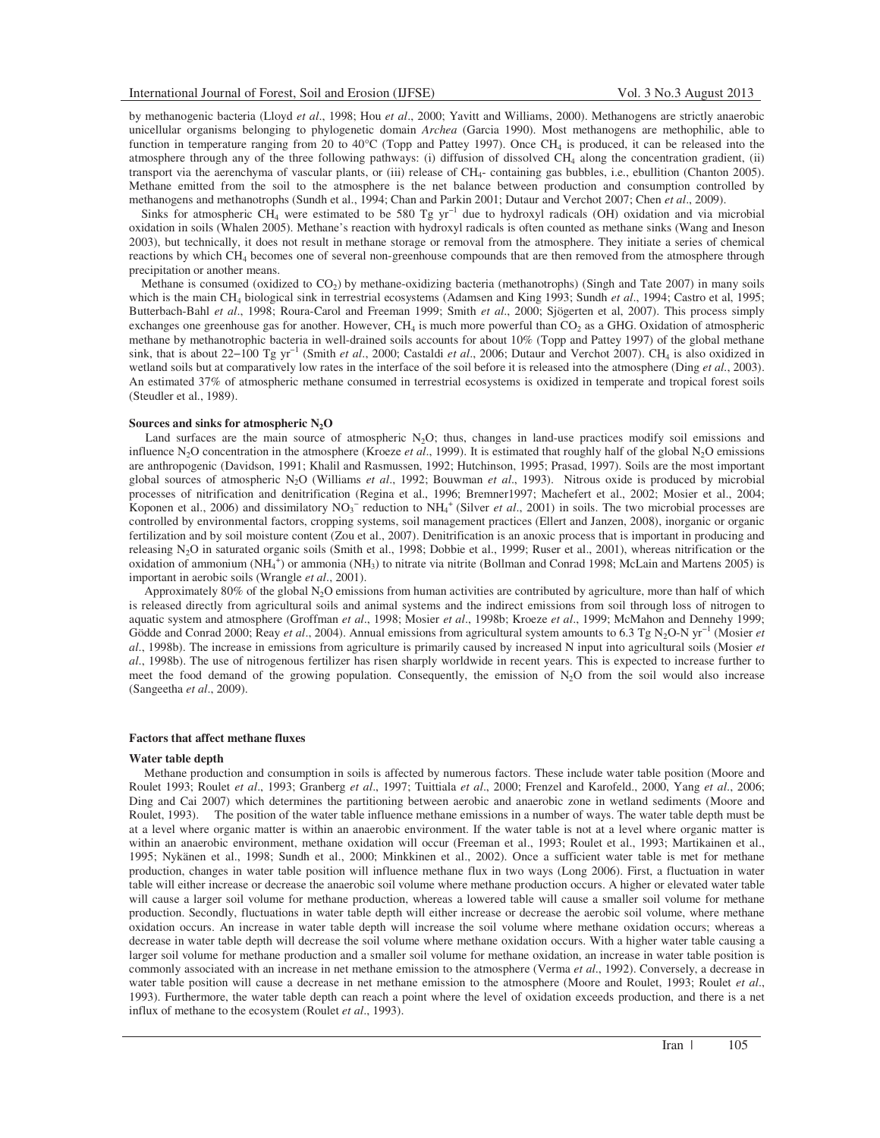by methanogenic bacteria (Lloyd *et al*., 1998; Hou *et al*., 2000; Yavitt and Williams, 2000). Methanogens are strictly anaerobic unicellular organisms belonging to phylogenetic domain *Archea* (Garcia 1990). Most methanogens are methophilic, able to function in temperature ranging from 20 to  $40^{\circ}$ C (Topp and Pattey 1997). Once CH<sub>4</sub> is produced, it can be released into the atmosphere through any of the three following pathways: (i) diffusion of dissolved CH<sub>4</sub> along the concentration gradient, (ii) transport via the aerenchyma of vascular plants, or (iii) release of CH<sub>4</sub>- containing gas bubbles, i.e., ebullition (Chanton 2005). Methane emitted from the soil to the atmosphere is the net balance between production and consumption controlled by methanogens and methanotrophs (Sundh et al., 1994; Chan and Parkin 2001; Dutaur and Verchot 2007; Chen *et al*., 2009).

Sinks for atmospheric CH<sub>4</sub> were estimated to be 580 Tg yr<sup>-1</sup> due to hydroxyl radicals (OH) oxidation and via microbial oxidation in soils (Whalen 2005). Methane's reaction with hydroxyl radicals is often counted as methane sinks (Wang and Ineson 2003), but technically, it does not result in methane storage or removal from the atmosphere. They initiate a series of chemical reactions by which CH<sup>4</sup> becomes one of several non-greenhouse compounds that are then removed from the atmosphere through precipitation or another means.

Methane is consumed (oxidized to  $CO<sub>2</sub>$ ) by methane-oxidizing bacteria (methanotrophs) (Singh and Tate 2007) in many soils which is the main CH<sub>4</sub> biological sink in terrestrial ecosystems (Adamsen and King 1993; Sundh et al., 1994; Castro et al, 1995; Butterbach-Bahl *et al*., 1998; Roura-Carol and Freeman 1999; Smith *et al*., 2000; Sjögerten et al, 2007). This process simply exchanges one greenhouse gas for another. However,  $CH_4$  is much more powerful than  $CO_2$  as a GHG. Oxidation of atmospheric methane by methanotrophic bacteria in well-drained soils accounts for about 10% (Topp and Pattey 1997) of the global methane sink, that is about 22-100 Tg yr<sup>-1</sup> (Smith *et al.*, 2000; Castaldi *et al.*, 2006; Dutaur and Verchot 2007). CH<sub>4</sub> is also oxidized in wetland soils but at comparatively low rates in the interface of the soil before it is released into the atmosphere (Ding *et al.*, 2003). An estimated 37% of atmospheric methane consumed in terrestrial ecosystems is oxidized in temperate and tropical forest soils (Steudler et al., 1989).

### **Sources and sinks for atmospheric N2O**

Land surfaces are the main source of atmospheric  $N_2O$ ; thus, changes in land-use practices modify soil emissions and influence N<sub>2</sub>O concentration in the atmosphere (Kroeze *et al.*, 1999). It is estimated that roughly half of the global N<sub>2</sub>O emissions are anthropogenic (Davidson, 1991; Khalil and Rasmussen, 1992; Hutchinson, 1995; Prasad, 1997). Soils are the most important global sources of atmospheric N2O (Williams *et al*., 1992; Bouwman *et al*., 1993). Nitrous oxide is produced by microbial processes of nitrification and denitrification (Regina et al., 1996; Bremner1997; Machefert et al., 2002; Mosier et al., 2004; Koponen et al., 2006) and dissimilatory  $NO_3^-$  reduction to  $NH_4^+$  (Silver *et al.*, 2001) in soils. The two microbial processes are controlled by environmental factors, cropping systems, soil management practices (Ellert and Janzen, 2008), inorganic or organic fertilization and by soil moisture content (Zou et al., 2007). Denitrification is an anoxic process that is important in producing and releasing  $N_2O$  in saturated organic soils (Smith et al., 1998; Dobbie et al., 1999; Ruser et al., 2001), whereas nitrification or the oxidation of ammonium  $(NH_4^+)$  or ammonia  $(NH_3)$  to nitrate via nitrite (Bollman and Conrad 1998; McLain and Martens 2005) is important in aerobic soils (Wrangle *et al*., 2001).

Approximately 80% of the global  $N_2O$  emissions from human activities are contributed by agriculture, more than half of which is released directly from agricultural soils and animal systems and the indirect emissions from soil through loss of nitrogen to aquatic system and atmosphere (Groffman *et al*., 1998; Mosier *et al*., 1998b; Kroeze *et al*., 1999; McMahon and Dennehy 1999; Gödde and Conrad 2000; Reay *et al.*, 2004). Annual emissions from agricultural system amounts to 6.3 Tg N<sub>2</sub>O-N yr<sup>−1</sup> (Mosier *et al*., 1998b). The increase in emissions from agriculture is primarily caused by increased N input into agricultural soils (Mosier *et al*., 1998b). The use of nitrogenous fertilizer has risen sharply worldwide in recent years. This is expected to increase further to meet the food demand of the growing population. Consequently, the emission of  $N<sub>2</sub>O$  from the soil would also increase (Sangeetha *et al*., 2009).

#### **Factors that affect methane fluxes**

#### **Water table depth**

 Methane production and consumption in soils is affected by numerous factors. These include water table position (Moore and Roulet 1993; Roulet *et al*., 1993; Granberg *et al*., 1997; Tuittiala *et al*., 2000; Frenzel and Karofeld., 2000, Yang *et al*., 2006; Ding and Cai 2007) which determines the partitioning between aerobic and anaerobic zone in wetland sediments (Moore and Roulet, 1993). The position of the water table influence methane emissions in a number of ways. The water table depth must be at a level where organic matter is within an anaerobic environment. If the water table is not at a level where organic matter is within an anaerobic environment, methane oxidation will occur (Freeman et al., 1993; Roulet et al., 1993; Martikainen et al., 1995; Nykänen et al., 1998; Sundh et al., 2000; Minkkinen et al., 2002). Once a sufficient water table is met for methane production, changes in water table position will influence methane flux in two ways (Long 2006). First, a fluctuation in water table will either increase or decrease the anaerobic soil volume where methane production occurs. A higher or elevated water table will cause a larger soil volume for methane production, whereas a lowered table will cause a smaller soil volume for methane production. Secondly, fluctuations in water table depth will either increase or decrease the aerobic soil volume, where methane oxidation occurs. An increase in water table depth will increase the soil volume where methane oxidation occurs; whereas a decrease in water table depth will decrease the soil volume where methane oxidation occurs. With a higher water table causing a larger soil volume for methane production and a smaller soil volume for methane oxidation, an increase in water table position is commonly associated with an increase in net methane emission to the atmosphere (Verma *et al*., 1992). Conversely, a decrease in water table position will cause a decrease in net methane emission to the atmosphere (Moore and Roulet, 1993; Roulet *et al*., 1993). Furthermore, the water table depth can reach a point where the level of oxidation exceeds production, and there is a net influx of methane to the ecosystem (Roulet *et al*., 1993).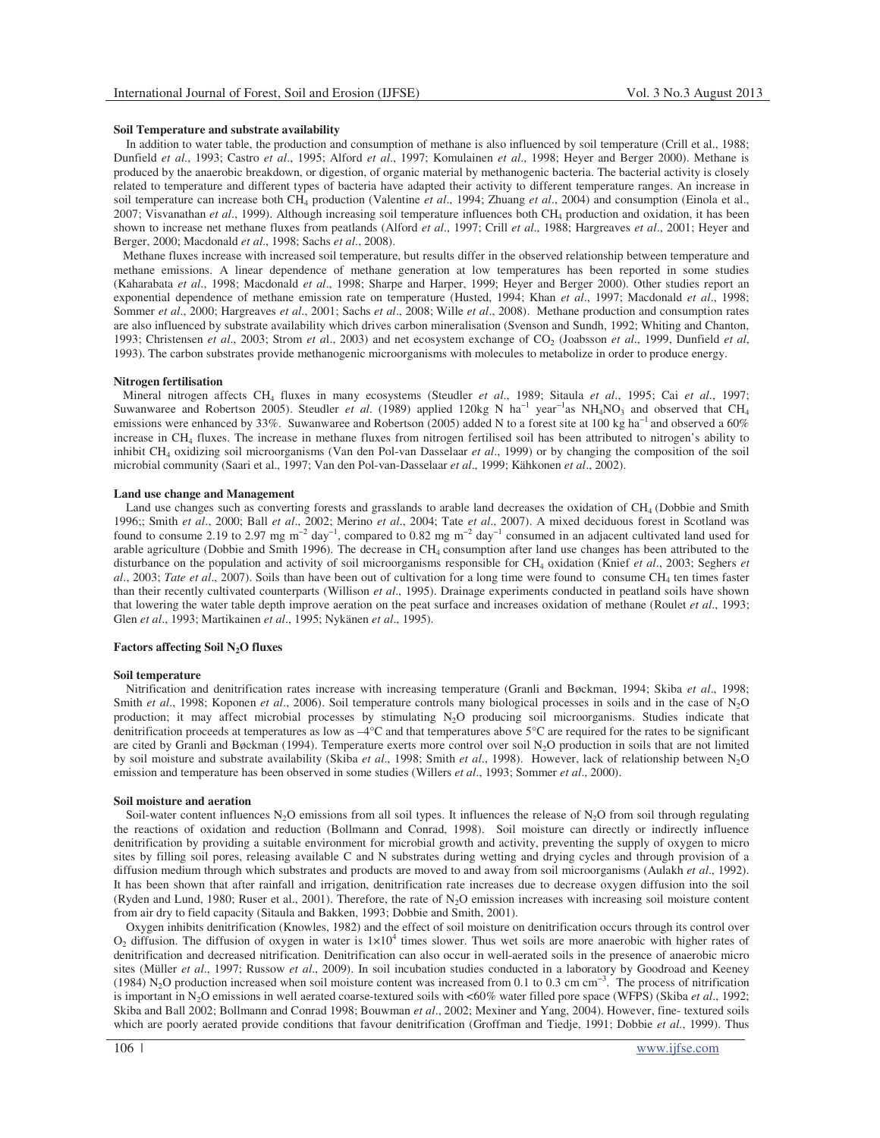# **Soil Temperature and substrate availability**

 In addition to water table, the production and consumption of methane is also influenced by soil temperature (Crill et al., 1988; Dunfield *et al*., 1993; Castro *et al*., 1995; Alford *et al*., 1997; Komulainen *et al*., 1998; Heyer and Berger 2000). Methane is produced by the anaerobic breakdown, or digestion, of organic material by methanogenic bacteria. The bacterial activity is closely related to temperature and different types of bacteria have adapted their activity to different temperature ranges. An increase in soil temperature can increase both CH<sub>4</sub> production (Valentine *et al.*, 1994; Zhuang *et al.*, 2004) and consumption (Einola et al., 2007; Visvanathan *et al*., 1999). Although increasing soil temperature influences both CH<sup>4</sup> production and oxidation, it has been shown to increase net methane fluxes from peatlands (Alford *et al*., 1997; Crill *et al*., 1988; Hargreaves *et al*., 2001; Heyer and Berger, 2000; Macdonald *et al*., 1998; Sachs *et al*., 2008).

 Methane fluxes increase with increased soil temperature, but results differ in the observed relationship between temperature and methane emissions. A linear dependence of methane generation at low temperatures has been reported in some studies (Kaharabata *et al*., 1998; Macdonald *et al*., 1998; Sharpe and Harper, 1999; Heyer and Berger 2000). Other studies report an exponential dependence of methane emission rate on temperature (Husted, 1994; Khan *et al*., 1997; Macdonald *et al*., 1998; Sommer *et al*., 2000; Hargreaves *et al*., 2001; Sachs *et al*., 2008; Wille *et al*., 2008). Methane production and consumption rates are also influenced by substrate availability which drives carbon mineralisation (Svenson and Sundh, 1992; Whiting and Chanton, 1993; Christensen et al., 2003; Strom et al., 2003) and net ecosystem exchange of CO<sub>2</sub> (Joabsson et al., 1999, Dunfield et al, 1993). The carbon substrates provide methanogenic microorganisms with molecules to metabolize in order to produce energy.

#### **Nitrogen fertilisation**

 Mineral nitrogen affects CH<sup>4</sup> fluxes in many ecosystems (Steudler *et al*., 1989; Sitaula *et al*., 1995; Cai *et al*., 1997; Suwanwaree and Robertson 2005). Steudler *et al.* (1989) applied 120kg N ha<sup>-1</sup> year<sup>-1</sup>as NH<sub>4</sub>NO<sub>3</sub> and observed that CH<sub>4</sub> emissions were enhanced by 33%. Suwanwaree and Robertson (2005) added N to a forest site at 100 kg ha<sup>-1</sup> and observed a 60% increase in CH<sup>4</sup> fluxes. The increase in methane fluxes from nitrogen fertilised soil has been attributed to nitrogen's ability to inhibit CH<sup>4</sup> oxidizing soil microorganisms (Van den Pol-van Dasselaar *et al*., 1999) or by changing the composition of the soil microbial community (Saari et al., 1997; Van den Pol-van-Dasselaar *et al*., 1999; Kähkonen *et al*., 2002).

#### **Land use change and Management**

Land use changes such as converting forests and grasslands to arable land decreases the oxidation of CH<sub>4</sub> (Dobbie and Smith 1996;; Smith *et al*., 2000; Ball *et al*., 2002; Merino *et al*., 2004; Tate *et al*., 2007). A mixed deciduous forest in Scotland was found to consume 2.19 to 2.97 mg m<sup>-2</sup> day<sup>-1</sup>, compared to 0.82 mg m<sup>-2</sup> day<sup>-1</sup> consumed in an adjacent cultivated land used for arable agriculture (Dobbie and Smith 1996). The decrease in CH<sub>4</sub> consumption after land use changes has been attributed to the disturbance on the population and activity of soil microorganisms responsible for CH<sub>4</sub> oxidation (Knief *et al.*, 2003; Seghers *et* al., 2003; Tate et al., 2007). Soils than have been out of cultivation for a long time were found to consume CH<sub>4</sub> ten times faster than their recently cultivated counterparts (Willison *et al*., 1995). Drainage experiments conducted in peatland soils have shown that lowering the water table depth improve aeration on the peat surface and increases oxidation of methane (Roulet *et al*., 1993; Glen *et al*., 1993; Martikainen *et al*., 1995; Nykänen *et al*., 1995).

### **Factors affecting Soil N2O fluxes**

### **Soil temperature**

 Nitrification and denitrification rates increase with increasing temperature (Granli and Bøckman, 1994; Skiba *et al*., 1998; Smith *et al*., 1998; Koponen *et al*., 2006). Soil temperature controls many biological processes in soils and in the case of N2O production; it may affect microbial processes by stimulating N2O producing soil microorganisms. Studies indicate that denitrification proceeds at temperatures as low as  $-4^{\circ}C$  and that temperatures above  $5^{\circ}C$  are required for the rates to be significant are cited by Granli and Bøckman (1994). Temperature exerts more control over soil N<sub>2</sub>O production in soils that are not limited by soil moisture and substrate availability (Skiba *et al*., 1998; Smith *et al*., 1998). However, lack of relationship between N2O emission and temperature has been observed in some studies (Willers *et al*., 1993; Sommer *et al*., 2000).

### **Soil moisture and aeration**

Soil-water content influences N<sub>2</sub>O emissions from all soil types. It influences the release of N<sub>2</sub>O from soil through regulating the reactions of oxidation and reduction (Bollmann and Conrad, 1998). Soil moisture can directly or indirectly influence denitrification by providing a suitable environment for microbial growth and activity, preventing the supply of oxygen to micro sites by filling soil pores, releasing available C and N substrates during wetting and drying cycles and through provision of a diffusion medium through which substrates and products are moved to and away from soil microorganisms (Aulakh *et al*., 1992). It has been shown that after rainfall and irrigation, denitrification rate increases due to decrease oxygen diffusion into the soil (Ryden and Lund, 1980; Ruser et al., 2001). Therefore, the rate of  $N<sub>2</sub>O$  emission increases with increasing soil moisture content from air dry to field capacity (Sitaula and Bakken, 1993; Dobbie and Smith, 2001).

 Oxygen inhibits denitrification (Knowles, 1982) and the effect of soil moisture on denitrification occurs through its control over  $O_2$  diffusion. The diffusion of oxygen in water is  $1\times10^4$  times slower. Thus wet soils are more anaerobic with higher rates of denitrification and decreased nitrification. Denitrification can also occur in well-aerated soils in the presence of anaerobic micro sites (Müller *et al*., 1997; Russow *et al*., 2009). In soil incubation studies conducted in a laboratory by Goodroad and Keeney (1984) N<sub>2</sub>O production increased when soil moisture content was increased from 0.1 to 0.3 cm cm<sup>−3</sup>. The process of nitrification is important in N<sub>2</sub>O emissions in well aerated coarse-textured soils with <60% water filled pore space (WFPS) (Skiba *et al.*, 1992; Skiba and Ball 2002; Bollmann and Conrad 1998; Bouwman *et al*., 2002; Mexiner and Yang, 2004). However, fine- textured soils which are poorly aerated provide conditions that favour denitrification (Groffman and Tiedje, 1991; Dobbie *et al*., 1999). Thus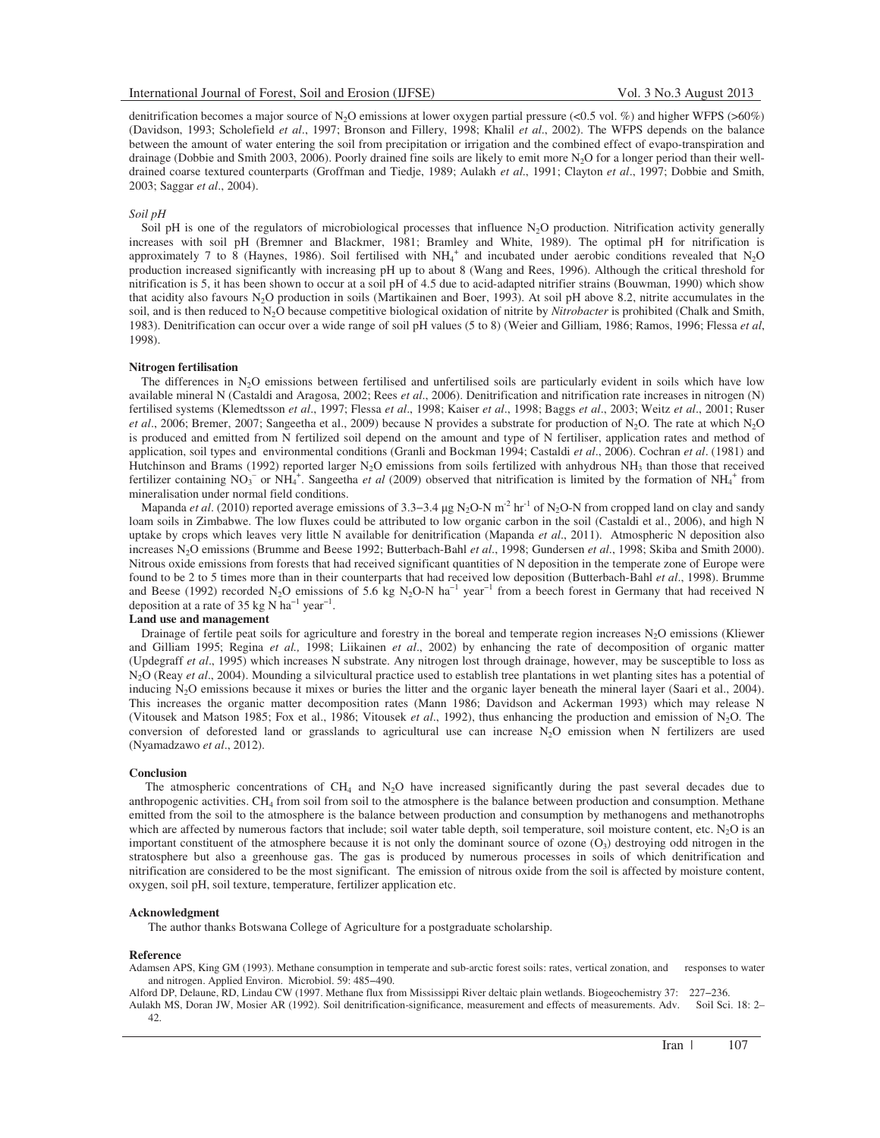denitrification becomes a major source of N<sub>2</sub>O emissions at lower oxygen partial pressure (<0.5 vol. %) and higher WFPS (>60%) (Davidson, 1993; Scholefield *et al*., 1997; Bronson and Fillery, 1998; Khalil *et al*., 2002). The WFPS depends on the balance between the amount of water entering the soil from precipitation or irrigation and the combined effect of evapo-transpiration and drainage (Dobbie and Smith 2003, 2006). Poorly drained fine soils are likely to emit more N<sub>2</sub>O for a longer period than their welldrained coarse textured counterparts (Groffman and Tiedje, 1989; Aulakh *et al*., 1991; Clayton *et al*., 1997; Dobbie and Smith, 2003; Saggar *et al*., 2004).

### *Soil pH*

Soil pH is one of the regulators of microbiological processes that influence N<sub>2</sub>O production. Nitrification activity generally increases with soil pH (Bremner and Blackmer, 1981; Bramley and White, 1989). The optimal pH for nitrification is approximately 7 to 8 (Haynes, 1986). Soil fertilised with  $NH_4^+$  and incubated under aerobic conditions revealed that N<sub>2</sub>O production increased significantly with increasing pH up to about 8 (Wang and Rees, 1996). Although the critical threshold for nitrification is 5, it has been shown to occur at a soil pH of 4.5 due to acid-adapted nitrifier strains (Bouwman, 1990) which show that acidity also favours N<sub>2</sub>O production in soils (Martikainen and Boer, 1993). At soil pH above 8.2, nitrite accumulates in the soil, and is then reduced to N2O because competitive biological oxidation of nitrite by *Nitrobacter* is prohibited (Chalk and Smith, 1983). Denitrification can occur over a wide range of soil pH values (5 to 8) (Weier and Gilliam, 1986; Ramos, 1996; Flessa *et al*, 1998).

#### **Nitrogen fertilisation**

The differences in N<sub>2</sub>O emissions between fertilised and unfertilised soils are particularly evident in soils which have low available mineral N (Castaldi and Aragosa, 2002; Rees *et al*., 2006). Denitrification and nitrification rate increases in nitrogen (N) fertilised systems (Klemedtsson *et al*., 1997; Flessa *et al*., 1998; Kaiser *et al*., 1998; Baggs *et al*., 2003; Weitz *et al*., 2001; Ruser *et al.*, 2006; Bremer, 2007; Sangeetha et al., 2009) because N provides a substrate for production of N<sub>2</sub>O. The rate at which N<sub>2</sub>O is produced and emitted from N fertilized soil depend on the amount and type of N fertiliser, application rates and method of application, soil types and environmental conditions (Granli and Bockman 1994; Castaldi *et al*., 2006). Cochran *et al*. (1981) and Hutchinson and Brams (1992) reported larger N<sub>2</sub>O emissions from soils fertilized with anhydrous NH<sub>3</sub> than those that received fertilizer containing  $NO_3^-$  or  $NH_4^+$ . Sangeetha *et al* (2009) observed that nitrification is limited by the formation of  $NH_4^+$  from mineralisation under normal field conditions.

Mapanda *et al.* (2010) reported average emissions of 3.3–3.4 μg N<sub>2</sub>O-N m<sup>-2</sup> hr<sup>-1</sup> of N<sub>2</sub>O-N from cropped land on clay and sandy loam soils in Zimbabwe. The low fluxes could be attributed to low organic carbon in the soil (Castaldi et al., 2006), and high N uptake by crops which leaves very little N available for denitrification (Mapanda *et al*., 2011). Atmospheric N deposition also increases N2O emissions (Brumme and Beese 1992; Butterbach-Bahl *et al*., 1998; Gundersen *et al*., 1998; Skiba and Smith 2000). Nitrous oxide emissions from forests that had received significant quantities of N deposition in the temperate zone of Europe were found to be 2 to 5 times more than in their counterparts that had received low deposition (Butterbach-Bahl *et al*., 1998). Brumme and Beese (1992) recorded N<sub>2</sub>O emissions of 5.6 kg N<sub>2</sub>O-N ha<sup>-1</sup> year<sup>-1</sup> from a beech forest in Germany that had received N deposition at a rate of 35 kg N ha<sup>-1</sup> year<sup>-1</sup>.

# **Land use and management**

Drainage of fertile peat soils for agriculture and forestry in the boreal and temperate region increases  $N_2O$  emissions (Kliewer and Gilliam 1995; Regina *et al.,* 1998; Liikainen *et al*., 2002) by enhancing the rate of decomposition of organic matter (Updegraff *et al*., 1995) which increases N substrate. Any nitrogen lost through drainage, however, may be susceptible to loss as N<sub>2</sub>O (Reay *et al.*, 2004). Mounding a silvicultural practice used to establish tree plantations in wet planting sites has a potential of inducing N<sub>2</sub>O emissions because it mixes or buries the litter and the organic layer beneath the mineral layer (Saari et al., 2004). This increases the organic matter decomposition rates (Mann 1986; Davidson and Ackerman 1993) which may release N (Vitousek and Matson 1985; Fox et al., 1986; Vitousek *et al*., 1992), thus enhancing the production and emission of N2O. The conversion of deforested land or grasslands to agricultural use can increase N2O emission when N fertilizers are used (Nyamadzawo *et al*., 2012).

### **Conclusion**

The atmospheric concentrations of  $CH_4$  and  $N_2O$  have increased significantly during the past several decades due to anthropogenic activities. CH<sub>4</sub> from soil from soil to the atmosphere is the balance between production and consumption. Methane emitted from the soil to the atmosphere is the balance between production and consumption by methanogens and methanotrophs which are affected by numerous factors that include; soil water table depth, soil temperature, soil moisture content, etc.  $N_2O$  is an important constituent of the atmosphere because it is not only the dominant source of ozone  $(O_3)$  destroying odd nitrogen in the stratosphere but also a greenhouse gas. The gas is produced by numerous processes in soils of which denitrification and nitrification are considered to be the most significant. The emission of nitrous oxide from the soil is affected by moisture content, oxygen, soil pH, soil texture, temperature, fertilizer application etc.

### **Acknowledgment**

The author thanks Botswana College of Agriculture for a postgraduate scholarship.

#### **Reference**

Adamsen APS, King GM (1993). Methane consumption in temperate and sub-arctic forest soils: rates, vertical zonation, and responses to water and nitrogen. Applied Environ. Microbiol. 59: 485−490.

Alford DP, Delaune, RD, Lindau CW (1997. Methane flux from Mississippi River deltaic plain wetlands. Biogeochemistry 37: 227−236. Aulakh MS, Doran JW, Mosier AR (1992). Soil denitrification-significance, measurement and effects of measurements. Adv. Soil Sci. 18: 2– 42.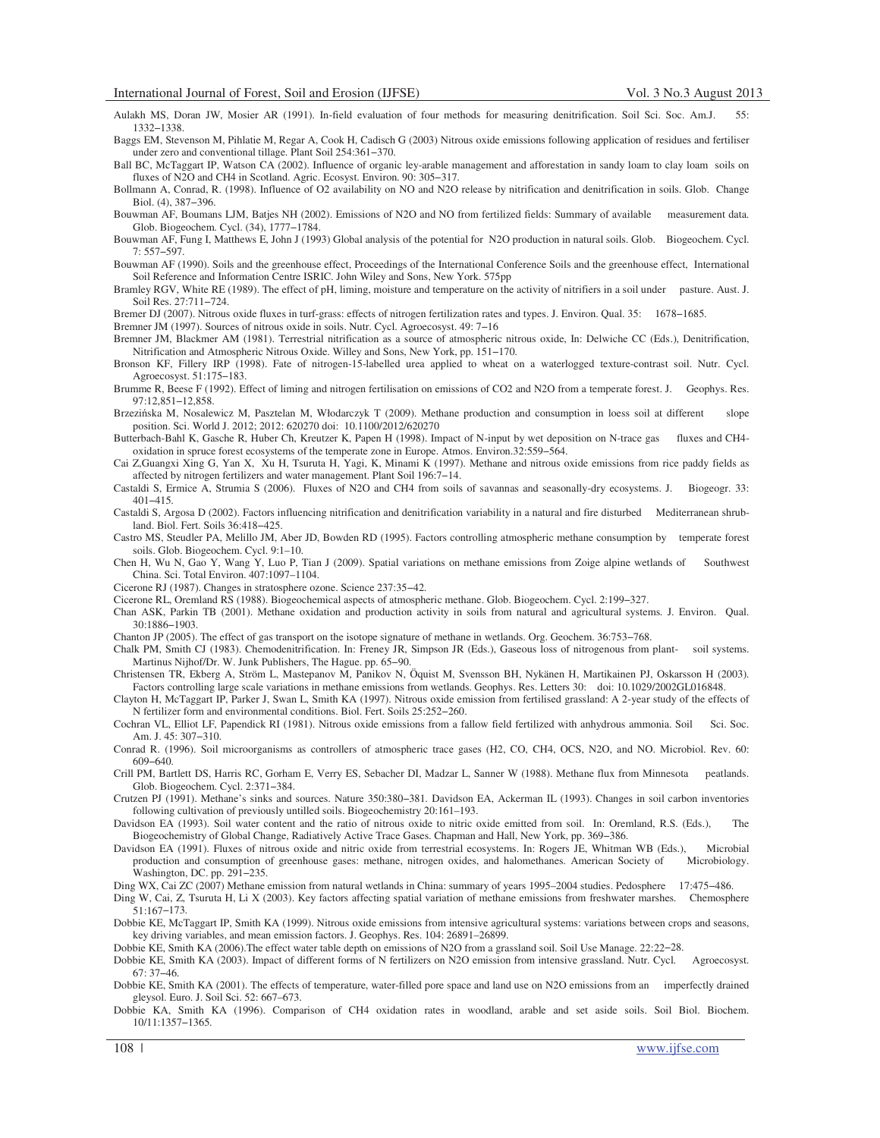Aulakh MS, Doran JW, Mosier AR (1991). In-field evaluation of four methods for measuring denitrification. Soil Sci. Soc. Am.J. 55: 1332−1338.

- Baggs EM, Stevenson M, Pihlatie M, Regar A, Cook H, Cadisch G (2003) Nitrous oxide emissions following application of residues and fertiliser under zero and conventional tillage. Plant Soil 254:361−370.
- Ball BC, McTaggart IP, Watson CA (2002). Influence of organic ley-arable management and afforestation in sandy loam to clay loam soils on fluxes of N2O and CH4 in Scotland. Agric. Ecosyst. Environ. 90: 305−317.
- Bollmann A, Conrad, R. (1998). Influence of O2 availability on NO and N2O release by nitrification and denitrification in soils. Glob. Change Biol. (4), 387−396.
- Bouwman AF, Boumans LJM, Batjes NH (2002). Emissions of N2O and NO from fertilized fields: Summary of available measurement data. Glob. Biogeochem. Cycl. (34), 1777−1784.
- Bouwman AF, Fung I, Matthews E, John J (1993) Global analysis of the potential for N2O production in natural soils. Glob. Biogeochem. Cycl. 7: 557−597.
- Bouwman AF (1990). Soils and the greenhouse effect, Proceedings of the International Conference Soils and the greenhouse effect, International Soil Reference and Information Centre ISRIC. John Wiley and Sons, New York. 575pp
- Bramley RGV, White RE (1989). The effect of pH, liming, moisture and temperature on the activity of nitrifiers in a soil under pasture. Aust. J. Soil Res. 27:711−724.

Bremer DJ (2007). Nitrous oxide fluxes in turf-grass: effects of nitrogen fertilization rates and types. J. Environ. Qual. 35: 1678−1685.

- Bremner JM (1997). Sources of nitrous oxide in soils. Nutr. Cycl. Agroecosyst. 49: 7−16
- Bremner JM, Blackmer AM (1981). Terrestrial nitrification as a source of atmospheric nitrous oxide, In: Delwiche CC (Eds.), Denitrification, Nitrification and Atmospheric Nitrous Oxide. Willey and Sons, New York, pp. 151−170.
- Bronson KF, Fillery IRP (1998). Fate of nitrogen-15-labelled urea applied to wheat on a waterlogged texture-contrast soil. Nutr. Cycl. Agroecosyst. 51:175−183.
- Brumme R, Beese F (1992). Effect of liming and nitrogen fertilisation on emissions of CO2 and N2O from a temperate forest. J. Geophys. Res. 97:12,851−12,858.
- Brzezi ska M, Nosalewicz M, Pasztelan M, Włodarczyk T (2009). Methane production and consumption in loess soil at different slope position. Sci. World J. 2012; 2012: 620270 doi: 10.1100/2012/620270
- Butterbach-Bahl K, Gasche R, Huber Ch, Kreutzer K, Papen H (1998). Impact of N-input by wet deposition on N-trace gas fluxes and CH4 oxidation in spruce forest ecosystems of the temperate zone in Europe. Atmos. Environ.32:559−564.
- Cai Z,Guangxi Xing G, Yan X, Xu H, Tsuruta H, Yagi, K, Minami K (1997). Methane and nitrous oxide emissions from rice paddy fields as affected by nitrogen fertilizers and water management. Plant Soil 196:7−14.
- Castaldi S, Ermice A, Strumia S (2006). Fluxes of N2O and CH4 from soils of savannas and seasonally-dry ecosystems. J. Biogeogr. 33: 401−415.
- Castaldi S, Argosa D (2002). Factors influencing nitrification and denitrification variability in a natural and fire disturbed Mediterranean shrubland. Biol. Fert. Soils 36:418−425.
- Castro MS, Steudler PA, Melillo JM, Aber JD, Bowden RD (1995). Factors controlling atmospheric methane consumption by temperate forest soils. Glob. Biogeochem. Cycl. 9:1–10.
- Chen H, Wu N, Gao Y, Wang Y, Luo P, Tian J (2009). Spatial variations on methane emissions from Zoige alpine wetlands of Southwest China. Sci. Total Environ. 407:1097–1104.
- Cicerone RJ (1987). Changes in stratosphere ozone. Science 237:35−42.
- Cicerone RL, Oremland RS (1988). Biogeochemical aspects of atmospheric methane. Glob. Biogeochem. Cycl. 2:199−327.
- Chan ASK, Parkin TB (2001). Methane oxidation and production activity in soils from natural and agricultural systems. J. Environ. Qual. 30:1886−1903.

Chanton JP (2005). The effect of gas transport on the isotope signature of methane in wetlands. Org. Geochem. 36:753−768.

- Chalk PM, Smith CJ (1983). Chemodenitrification. In: Freney JR, Simpson JR (Eds.), Gaseous loss of nitrogenous from plant- soil systems. Martinus Nijhof/Dr. W. Junk Publishers, The Hague. pp. 65−90.
- Christensen TR, Ekberg A, Ström L, Mastepanov M, Panikov N, Öquist M, Svensson BH, Nykänen H, Martikainen PJ, Oskarsson H (2003). Factors controlling large scale variations in methane emissions from wetlands. Geophys. Res. Letters 30: doi: 10.1029/2002GL016848.
- Clayton H, McTaggart IP, Parker J, Swan L, Smith KA (1997). Nitrous oxide emission from fertilised grassland: A 2-year study of the effects of N fertilizer form and environmental conditions. Biol. Fert. Soils 25:252−260.
- Cochran VL, Elliot LF, Papendick RI (1981). Nitrous oxide emissions from a fallow field fertilized with anhydrous ammonia. Soil Sci. Soc. Am. J. 45: 307−310.
- Conrad R. (1996). Soil microorganisms as controllers of atmospheric trace gases (H2, CO, CH4, OCS, N2O, and NO. Microbiol. Rev. 60: 609−640.
- Crill PM, Bartlett DS, Harris RC, Gorham E, Verry ES, Sebacher DI, Madzar L, Sanner W (1988). Methane flux from Minnesota peatlands. Glob. Biogeochem. Cycl. 2:371−384.
- Crutzen PJ (1991). Methane's sinks and sources. Nature 350:380−381. Davidson EA, Ackerman IL (1993). Changes in soil carbon inventories following cultivation of previously untilled soils. Biogeochemistry 20:161–193.
- Davidson EA (1993). Soil water content and the ratio of nitrous oxide to nitric oxide emitted from soil. In: Oremland, R.S. (Eds.), The Biogeochemistry of Global Change, Radiatively Active Trace Gases. Chapman and Hall, New York, pp. 369−386.
- Davidson EA (1991). Fluxes of nitrous oxide and nitric oxide from terrestrial ecosystems. In: Rogers JE, Whitman WB (Eds.), Microbial production and consumption of greenhouse gases: methane, nitrogen oxides, and halomethanes. American Society of Microbiology. Washington, DC. pp. 291−235.
- Ding WX, Cai ZC (2007) Methane emission from natural wetlands in China: summary of years 1995–2004 studies. Pedosphere 17:475−486.
- Ding W, Cai, Z, Tsuruta H, Li X (2003). Key factors affecting spatial variation of methane emissions from freshwater marshes. Chemosphere 51:167−173.
- Dobbie KE, McTaggart IP, Smith KA (1999). Nitrous oxide emissions from intensive agricultural systems: variations between crops and seasons, key driving variables, and mean emission factors. J. Geophys. Res. 104: 26891–26899.

Dobbie KE, Smith KA (2006).The effect water table depth on emissions of N2O from a grassland soil. Soil Use Manage. 22:22−28.

- Dobbie KE, Smith KA (2003). Impact of different forms of N fertilizers on N2O emission from intensive grassland. Nutr. Cycl. Agroecosyst. 67: 37−46.
- Dobbie KE, Smith KA (2001). The effects of temperature, water-filled pore space and land use on N2O emissions from an imperfectly drained gleysol. Euro. J. Soil Sci. 52: 667–673.
- Dobbie KA, Smith KA (1996). Comparison of CH4 oxidation rates in woodland, arable and set aside soils. Soil Biol. Biochem. 10/11:1357−1365.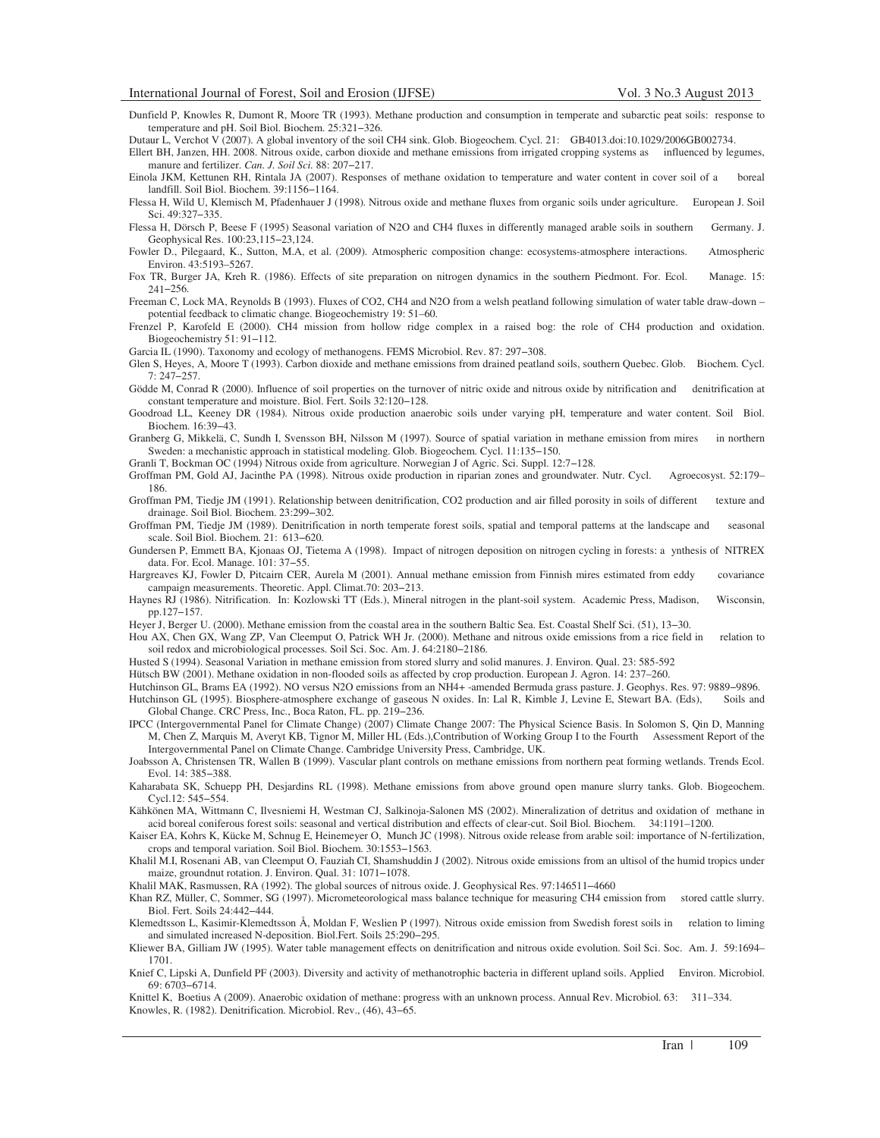Dunfield P, Knowles R, Dumont R, Moore TR (1993). Methane production and consumption in temperate and subarctic peat soils: response to temperature and pH. Soil Biol. Biochem. 25:321−326.

Dutaur L, Verchot V (2007). A global inventory of the soil CH4 sink. Glob. Biogeochem. Cycl. 21: GB4013.doi:10.1029/2006GB002734.

Ellert BH, Janzen, HH. 2008. Nitrous oxide, carbon dioxide and methane emissions from irrigated cropping systems as influenced by legumes, manure and fertilizer. *Can. J. Soil Sci.* 88: 207−217.

Einola JKM, Kettunen RH, Rintala JA (2007). Responses of methane oxidation to temperature and water content in cover soil of a boreal landfill. Soil Biol. Biochem. 39:1156−1164.

Flessa H, Wild U, Klemisch M, Pfadenhauer J (1998). Nitrous oxide and methane fluxes from organic soils under agriculture. European J. Soil Sci. 49:327−335.

Flessa H, Dörsch P, Beese F (1995) Seasonal variation of N2O and CH4 fluxes in differently managed arable soils in southern Germany. J. Geophysical Res. 100:23,115−23,124.

Fowler D., Pilegaard, K., Sutton, M.A, et al. (2009). Atmospheric composition change: ecosystems-atmosphere interactions. Atmospheric Environ. 43:5193–5267.

Fox TR, Burger JA, Kreh R. (1986). Effects of site preparation on nitrogen dynamics in the southern Piedmont. For. Ecol. Manage. 15: 241−256.

Freeman C, Lock MA, Reynolds B (1993). Fluxes of CO2, CH4 and N2O from a welsh peatland following simulation of water table draw-down – potential feedback to climatic change. Biogeochemistry 19: 51–60.

Frenzel P, Karofeld E (2000). CH4 mission from hollow ridge complex in a raised bog: the role of CH4 production and oxidation. Biogeochemistry 51: 91−112.

Garcia IL (1990). Taxonomy and ecology of methanogens. FEMS Microbiol. Rev. 87: 297−308.

Glen S, Heyes, A, Moore T (1993). Carbon dioxide and methane emissions from drained peatland soils, southern Quebec. Glob. Biochem. Cycl. 7: 247−257.

Gödde M, Conrad R (2000). Influence of soil properties on the turnover of nitric oxide and nitrous oxide by nitrification and denitrification at constant temperature and moisture. Biol. Fert. Soils 32:120−128.

Goodroad LL, Keeney DR (1984). Nitrous oxide production anaerobic soils under varying pH, temperature and water content. Soil Biol. Biochem. 16:39−43.

Granberg G, Mikkelä, C, Sundh I, Svensson BH, Nilsson M (1997). Source of spatial variation in methane emission from mires in northern Sweden: a mechanistic approach in statistical modeling. Glob. Biogeochem. Cycl. 11:135−150.

Granli T, Bockman OC (1994) Nitrous oxide from agriculture. Norwegian J of Agric. Sci. Suppl. 12:7−128.

Groffman PM, Gold AJ, Jacinthe PA (1998). Nitrous oxide production in riparian zones and groundwater. Nutr. Cycl. Agroecosyst. 52:179– 186.

Groffman PM, Tiedje JM (1991). Relationship between denitrification, CO2 production and air filled porosity in soils of different texture and drainage. Soil Biol. Biochem. 23:299−302.

Groffman PM, Tiedje JM (1989). Denitrification in north temperate forest soils, spatial and temporal patterns at the landscape and seasonal scale. Soil Biol. Biochem. 21: 613−620.

Gundersen P, Emmett BA, Kjonaas OJ, Tietema A (1998). Impact of nitrogen deposition on nitrogen cycling in forests: a ynthesis of NITREX data. For. Ecol. Manage. 101: 37−55.

Hargreaves KJ, Fowler D, Pitcairn CER, Aurela M (2001). Annual methane emission from Finnish mires estimated from eddy covariance campaign measurements. Theoretic. Appl. Climat.70: 203−213.

Haynes RJ (1986). Nitrification. In: Kozlowski TT (Eds.), Mineral nitrogen in the plant-soil system. Academic Press, Madison, Wisconsin, pp.127−157.

Heyer J, Berger U. (2000). Methane emission from the coastal area in the southern Baltic Sea. Est. Coastal Shelf Sci. (51), 13−30.

Hou AX, Chen GX, Wang ZP, Van Cleemput O, Patrick WH Jr. (2000). Methane and nitrous oxide emissions from a rice field in relation to soil redox and microbiological processes. Soil Sci. Soc. Am. J. 64:2180−2186.

Husted S (1994). Seasonal Variation in methane emission from stored slurry and solid manures. J. Environ. Qual. 23: 585-592

Hütsch BW (2001). Methane oxidation in non-flooded soils as affected by crop production. European J. Agron. 14: 237–260.

Hutchinson GL, Brams EA (1992). NO versus N2O emissions from an NH4+ -amended Bermuda grass pasture. J. Geophys. Res. 97: 9889−9896. Hutchinson GL (1995). Biosphere-atmosphere exchange of gaseous N oxides. In: Lal R, Kimble J, Levine E, Stewart BA. (Eds), Soils and Global Change. CRC Press, Inc., Boca Raton, FL. pp. 219−236.

IPCC (Intergovernmental Panel for Climate Change) (2007) Climate Change 2007: The Physical Science Basis. In Solomon S, Qin D, Manning M, Chen Z, Marquis M, Averyt KB, Tignor M, Miller HL (Eds.),Contribution of Working Group I to the Fourth Assessment Report of the Intergovernmental Panel on Climate Change. Cambridge University Press, Cambridge, UK.

Joabsson A, Christensen TR, Wallen B (1999). Vascular plant controls on methane emissions from northern peat forming wetlands. Trends Ecol. Evol. 14: 385−388.

Kaharabata SK, Schuepp PH, Desjardins RL (1998). Methane emissions from above ground open manure slurry tanks. Glob. Biogeochem. Cycl.12: 545−554.

Kähkönen MA, Wittmann C, Ilvesniemi H, Westman CJ, Salkinoja-Salonen MS (2002). Mineralization of detritus and oxidation of methane in acid boreal coniferous forest soils: seasonal and vertical distribution and effects of clear-cut. Soil Biol. Biochem. 34:1191–1200.

Kaiser EA, Kohrs K, Kücke M, Schnug E, Heinemeyer O, Munch JC (1998). Nitrous oxide release from arable soil: importance of N-fertilization, crops and temporal variation. Soil Biol. Biochem. 30:1553−1563.

Khalil M.I, Rosenani AB, van Cleemput O, Fauziah CI, Shamshuddin J (2002). Nitrous oxide emissions from an ultisol of the humid tropics under maize, groundnut rotation. J. Environ. Qual. 31: 1071−1078.

Khalil MAK, Rasmussen, RA (1992). The global sources of nitrous oxide. J. Geophysical Res. 97:146511−4660

Khan RZ, Müller, C, Sommer, SG (1997). Micrometeorological mass balance technique for measuring CH4 emission from stored cattle slurry. Biol. Fert. Soils 24:442−444.

Klemedtsson L, Kasimir-Klemedtsson Å, Moldan F, Weslien P (1997). Nitrous oxide emission from Swedish forest soils in relation to liming and simulated increased N-deposition. Biol.Fert. Soils 25:290−295.

Kliewer BA, Gilliam JW (1995). Water table management effects on denitrification and nitrous oxide evolution. Soil Sci. Soc. Am. J. 59:1694– 1701.

Knief C, Lipski A, Dunfield PF (2003). Diversity and activity of methanotrophic bacteria in different upland soils. Applied Environ. Microbiol. 69: 6703−6714.

Knittel K, Boetius A (2009). Anaerobic oxidation of methane: progress with an unknown process. Annual Rev. Microbiol. 63: 311–334. Knowles, R. (1982). Denitrification. Microbiol. Rev., (46), 43−65.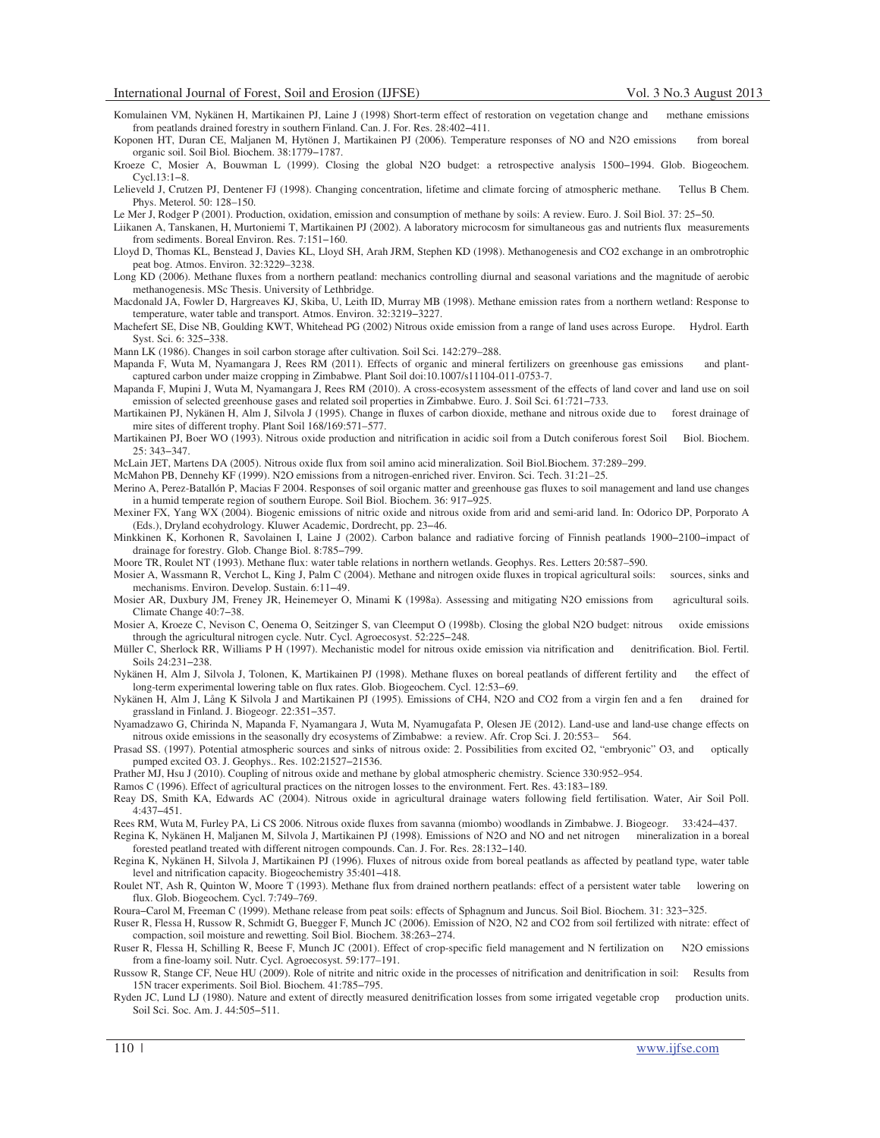- Komulainen VM, Nykänen H, Martikainen PJ, Laine J (1998) Short-term effect of restoration on vegetation change and methane emissions from peatlands drained forestry in southern Finland. Can. J. For. Res. 28:402−411.
- Koponen HT, Duran CE, Maljanen M, Hytönen J, Martikainen PJ (2006). Temperature responses of NO and N2O emissions from boreal organic soil. Soil Biol. Biochem. 38:1779−1787.
- Kroeze C, Mosier A, Bouwman L (1999). Closing the global N2O budget: a retrospective analysis 1500−1994. Glob. Biogeochem. Cycl.13:1−8.
- Lelieveld J, Crutzen PJ, Dentener FJ (1998). Changing concentration, lifetime and climate forcing of atmospheric methane. Tellus B Chem. Phys. Meterol. 50: 128–150.

Le Mer J, Rodger P (2001). Production, oxidation, emission and consumption of methane by soils: A review. Euro. J. Soil Biol. 37: 25−50.

- Liikanen A, Tanskanen, H, Murtoniemi T, Martikainen PJ (2002). A laboratory microcosm for simultaneous gas and nutrients flux measurements from sediments. Boreal Environ. Res. 7:151−160.
- Lloyd D, Thomas KL, Benstead J, Davies KL, Lloyd SH, Arah JRM, Stephen KD (1998). Methanogenesis and CO2 exchange in an ombrotrophic peat bog. Atmos. Environ. 32:3229–3238.
- Long KD (2006). Methane fluxes from a northern peatland: mechanics controlling diurnal and seasonal variations and the magnitude of aerobic methanogenesis. MSc Thesis. University of Lethbridge.
- Macdonald JA, Fowler D, Hargreaves KJ, Skiba, U, Leith ID, Murray MB (1998). Methane emission rates from a northern wetland: Response to temperature, water table and transport. Atmos. Environ. 32:3219−3227.
- Machefert SE, Dise NB, Goulding KWT, Whitehead PG (2002) Nitrous oxide emission from a range of land uses across Europe. Hydrol. Earth Syst. Sci. 6: 325−338.

Mann LK (1986). Changes in soil carbon storage after cultivation. Soil Sci. 142:279–288.

- Mapanda F, Wuta M, Nyamangara J, Rees RM (2011). Effects of organic and mineral fertilizers on greenhouse gas emissions and plantcaptured carbon under maize cropping in Zimbabwe. Plant Soil doi:10.1007/s11104-011-0753-7.
- Mapanda F, Mupini J, Wuta M, Nyamangara J, Rees RM (2010). A cross-ecosystem assessment of the effects of land cover and land use on soil emission of selected greenhouse gases and related soil properties in Zimbabwe. Euro. J. Soil Sci. 61:721−733.
- Martikainen PJ, Nykänen H, Alm J, Silvola J (1995). Change in fluxes of carbon dioxide, methane and nitrous oxide due to forest drainage of mire sites of different trophy. Plant Soil 168/169:571–577.
- Martikainen PJ, Boer WO (1993). Nitrous oxide production and nitrification in acidic soil from a Dutch coniferous forest Soil Biol. Biochem. 25: 343−347.

McLain JET, Martens DA (2005). Nitrous oxide flux from soil amino acid mineralization. Soil Biol.Biochem. 37:289–299.

McMahon PB, Dennehy KF (1999). N2O emissions from a nitrogen-enriched river. Environ. Sci. Tech. 31:21–25.

Merino A, Perez-Batallón P, Macias F 2004. Responses of soil organic matter and greenhouse gas fluxes to soil management and land use changes in a humid temperate region of southern Europe. Soil Biol. Biochem. 36: 917−925.

Mexiner FX, Yang WX (2004). Biogenic emissions of nitric oxide and nitrous oxide from arid and semi-arid land. In: Odorico DP, Porporato A (Eds.), Dryland ecohydrology. Kluwer Academic, Dordrecht, pp. 23−46.

Minkkinen K, Korhonen R, Savolainen I, Laine J (2002). Carbon balance and radiative forcing of Finnish peatlands 1900−2100−impact of drainage for forestry. Glob. Change Biol. 8:785−799.

Moore TR, Roulet NT (1993). Methane flux: water table relations in northern wetlands. Geophys. Res. Letters 20:587–590.

- Mosier A, Wassmann R, Verchot L, King J, Palm C (2004). Methane and nitrogen oxide fluxes in tropical agricultural soils: sources, sinks and mechanisms. Environ. Develop. Sustain. 6:11−49.
- Mosier AR, Duxbury JM, Freney JR, Heinemeyer O, Minami K (1998a). Assessing and mitigating N2O emissions from agricultural soils. Climate Change 40:7−38.
- Mosier A, Kroeze C, Nevison C, Oenema O, Seitzinger S, van Cleemput O (1998b). Closing the global N2O budget: nitrous oxide emissions through the agricultural nitrogen cycle. Nutr. Cycl. Agroecosyst. 52:225−248.
- Müller C, Sherlock RR, Williams P H (1997). Mechanistic model for nitrous oxide emission via nitrification and denitrification. Biol. Fertil. Soils 24:231−238.
- Nykänen H, Alm J, Silvola J, Tolonen, K, Martikainen PJ (1998). Methane fluxes on boreal peatlands of different fertility and the effect of long-term experimental lowering table on flux rates. Glob. Biogeochem. Cycl. 12:53−69.
- Nykänen H, Alm J, Lång K Silvola J and Martikainen PJ (1995). Emissions of CH4, N2O and CO2 from a virgin fen and a fen drained for grassland in Finland. J. Biogeogr. 22:351−357.
- Nyamadzawo G, Chirinda N, Mapanda F, Nyamangara J, Wuta M, Nyamugafata P, Olesen JE (2012). Land-use and land-use change effects on nitrous oxide emissions in the seasonally dry ecosystems of Zimbabwe: a review. Afr. Crop Sci. J. 20:553– 564.
- Prasad SS. (1997). Potential atmospheric sources and sinks of nitrous oxide: 2. Possibilities from excited O2, "embryonic" O3, and optically pumped excited O3. J. Geophys.. Res. 102:21527−21536.
- Prather MJ, Hsu J (2010). Coupling of nitrous oxide and methane by global atmospheric chemistry. Science 330:952–954.
- Ramos C (1996). Effect of agricultural practices on the nitrogen losses to the environment. Fert. Res. 43:183−189.
- Reay DS, Smith KA, Edwards AC (2004). Nitrous oxide in agricultural drainage waters following field fertilisation. Water, Air Soil Poll. 4:437−451.
- Rees RM, Wuta M, Furley PA, Li CS 2006. Nitrous oxide fluxes from savanna (miombo) woodlands in Zimbabwe. J. Biogeogr. 33:424−437.
- Regina K, Nykänen H, Maljanen M, Silvola J, Martikainen PJ (1998). Emissions of N2O and NO and net nitrogen mineralization in a boreal forested peatland treated with different nitrogen compounds. Can. J. For. Res. 28:132−140.
- Regina K, Nykänen H, Silvola J, Martikainen PJ (1996). Fluxes of nitrous oxide from boreal peatlands as affected by peatland type, water table level and nitrification capacity. Biogeochemistry 35:401−418.
- Roulet NT, Ash R, Quinton W, Moore T (1993). Methane flux from drained northern peatlands: effect of a persistent water table lowering on flux. Glob. Biogeochem. Cycl. 7:749–769.
- Roura−Carol M, Freeman C (1999). Methane release from peat soils: effects of Sphagnum and Juncus. Soil Biol. Biochem. 31: 323−325.
- Ruser R, Flessa H, Russow R, Schmidt G, Buegger F, Munch JC (2006). Emission of N2O, N2 and CO2 from soil fertilized with nitrate: effect of compaction, soil moisture and rewetting. Soil Biol. Biochem. 38:263−274.
- Ruser R, Flessa H, Schilling R, Beese F, Munch JC (2001). Effect of crop-specific field management and N fertilization on N2O emissions from a fine-loamy soil. Nutr. Cycl. Agroecosyst. 59:177–191.
- Russow R, Stange CF, Neue HU (2009). Role of nitrite and nitric oxide in the processes of nitrification and denitrification in soil: Results from 15N tracer experiments. Soil Biol. Biochem. 41:785−795.
- Ryden JC, Lund LJ (1980). Nature and extent of directly measured denitrification losses from some irrigated vegetable crop production units. Soil Sci. Soc. Am. J. 44:505−511.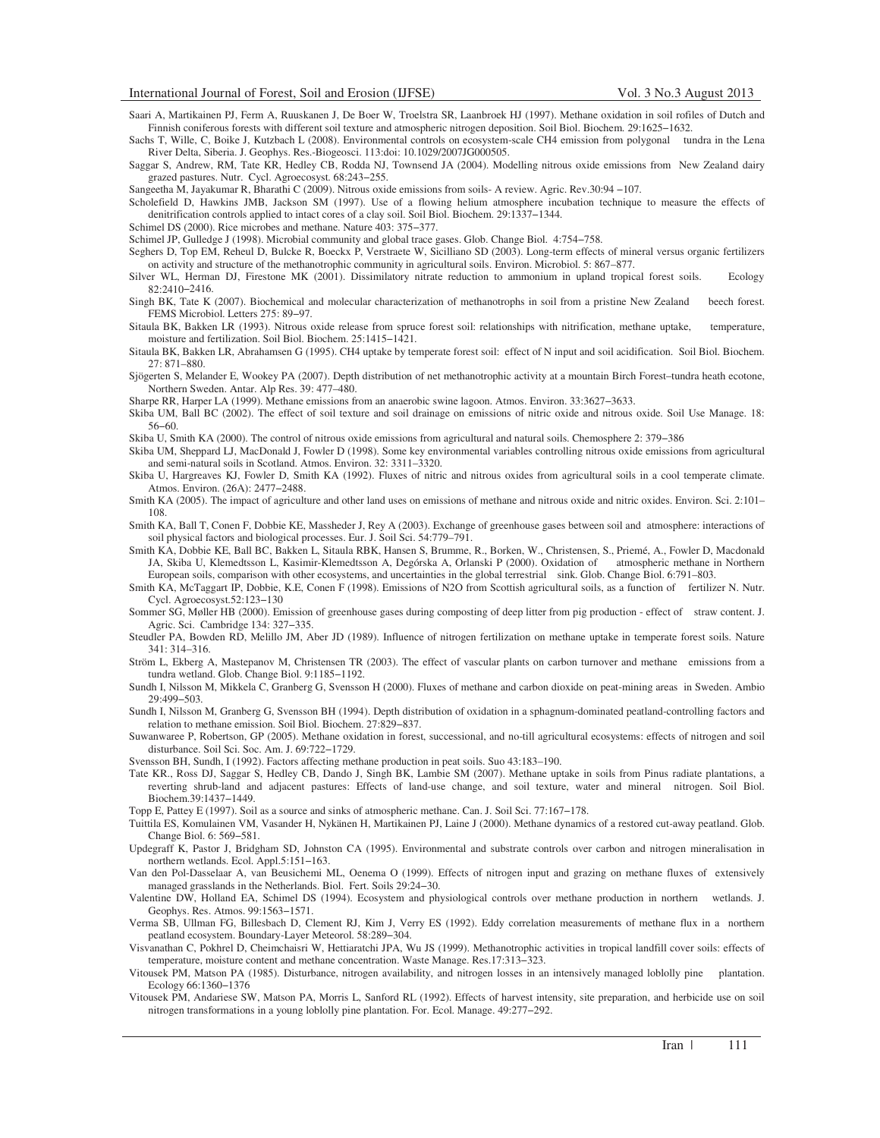- Saari A, Martikainen PJ, Ferm A, Ruuskanen J, De Boer W, Troelstra SR, Laanbroek HJ (1997). Methane oxidation in soil rofiles of Dutch and Finnish coniferous forests with different soil texture and atmospheric nitrogen deposition. Soil Biol. Biochem. 29:1625−1632.
- Sachs T, Wille, C, Boike J, Kutzbach L (2008). Environmental controls on ecosystem-scale CH4 emission from polygonal tundra in the Lena River Delta, Siberia. J. Geophys. Res.-Biogeosci. 113:doi: 10.1029/2007JG000505.
- Saggar S, Andrew, RM, Tate KR, Hedley CB, Rodda NJ, Townsend JA (2004). Modelling nitrous oxide emissions from New Zealand dairy grazed pastures. Nutr. Cycl. Agroecosyst. 68:243−255.

Sangeetha M, Jayakumar R, Bharathi C (2009). Nitrous oxide emissions from soils- A review. Agric. Rev.30:94 −107.

- Scholefield D, Hawkins JMB, Jackson SM (1997). Use of a flowing helium atmosphere incubation technique to measure the effects of denitrification controls applied to intact cores of a clay soil. Soil Biol. Biochem. 29:1337−1344.
- Schimel DS (2000). Rice microbes and methane. Nature 403: 375−377.

Schimel JP, Gulledge J (1998). Microbial community and global trace gases. Glob. Change Biol. 4:754−758.

- Seghers D, Top EM, Reheul D, Bulcke R, Boeckx P, Verstraete W, Sicilliano SD (2003). Long-term effects of mineral versus organic fertilizers on activity and structure of the methanotrophic community in agricultural soils. Environ. Microbiol. 5: 867–877.
- Silver WL, Herman DJ, Firestone MK (2001). Dissimilatory nitrate reduction to ammonium in upland tropical forest soils. Ecology 82:2410−2416.
- Singh BK, Tate K (2007). Biochemical and molecular characterization of methanotrophs in soil from a pristine New Zealand beech forest. FEMS Microbiol. Letters 275: 89−97.
- Sitaula BK, Bakken LR (1993). Nitrous oxide release from spruce forest soil: relationships with nitrification, methane uptake, temperature, moisture and fertilization. Soil Biol. Biochem. 25:1415−1421.
- Sitaula BK, Bakken LR, Abrahamsen G (1995). CH4 uptake by temperate forest soil: effect of N input and soil acidification. Soil Biol. Biochem. 27: 871–880.
- Sjögerten S, Melander E, Wookey PA (2007). Depth distribution of net methanotrophic activity at a mountain Birch Forest–tundra heath ecotone, Northern Sweden. Antar. Alp Res. 39: 477–480.
- Sharpe RR, Harper LA (1999). Methane emissions from an anaerobic swine lagoon. Atmos. Environ. 33:3627−3633.
- Skiba UM, Ball BC (2002). The effect of soil texture and soil drainage on emissions of nitric oxide and nitrous oxide. Soil Use Manage. 18: 56−60.
- Skiba U, Smith KA (2000). The control of nitrous oxide emissions from agricultural and natural soils. Chemosphere 2: 379−386
- Skiba UM, Sheppard LJ, MacDonald J, Fowler D (1998). Some key environmental variables controlling nitrous oxide emissions from agricultural and semi-natural soils in Scotland. Atmos. Environ. 32: 3311–3320.
- Skiba U, Hargreaves KJ, Fowler D, Smith KA (1992). Fluxes of nitric and nitrous oxides from agricultural soils in a cool temperate climate. Atmos. Environ. (26A): 2477−2488.
- Smith KA (2005). The impact of agriculture and other land uses on emissions of methane and nitrous oxide and nitric oxides. Environ. Sci. 2:101– 108.
- Smith KA, Ball T, Conen F, Dobbie KE, Massheder J, Rey A (2003). Exchange of greenhouse gases between soil and atmosphere: interactions of soil physical factors and biological processes. Eur. J. Soil Sci. 54:779–791.
- Smith KA, Dobbie KE, Ball BC, Bakken L, Sitaula RBK, Hansen S, Brumme, R., Borken, W., Christensen, S., Priemé, A., Fowler D, Macdonald JA, Skiba U, Klemedtsson L, Kasimir-Klemedtsson A, Degórska A, Orlanski P (2000). Oxidation of atmospheric methane in Northern European soils, comparison with other ecosystems, and uncertainties in the global terrestrial sink. Glob. Change Biol. 6:791–803.
- Smith KA, McTaggart IP, Dobbie, K.E, Conen F (1998). Emissions of N2O from Scottish agricultural soils, as a function of fertilizer N. Nutr. Cycl. Agroecosyst.52:123−130
- Sommer SG, Møller HB (2000). Emission of greenhouse gases during composting of deep litter from pig production effect of straw content. J. Agric. Sci. Cambridge 134: 327−335.
- Steudler PA, Bowden RD, Melillo JM, Aber JD (1989). Influence of nitrogen fertilization on methane uptake in temperate forest soils. Nature 341: 314–316.
- Ström L, Ekberg A, Mastepanov M, Christensen TR (2003). The effect of vascular plants on carbon turnover and methane emissions from a tundra wetland. Glob. Change Biol. 9:1185−1192.
- Sundh I, Nilsson M, Mikkela C, Granberg G, Svensson H (2000). Fluxes of methane and carbon dioxide on peat-mining areas in Sweden. Ambio 29:499−503.
- Sundh I, Nilsson M, Granberg G, Svensson BH (1994). Depth distribution of oxidation in a sphagnum-dominated peatland-controlling factors and relation to methane emission. Soil Biol. Biochem. 27:829−837.
- Suwanwaree P, Robertson, GP (2005). Methane oxidation in forest, successional, and no-till agricultural ecosystems: effects of nitrogen and soil disturbance. Soil Sci. Soc. Am. J. 69:722−1729.
- Svensson BH, Sundh, I (1992). Factors affecting methane production in peat soils. Suo 43:183–190.
- Tate KR., Ross DJ, Saggar S, Hedley CB, Dando J, Singh BK, Lambie SM (2007). Methane uptake in soils from Pinus radiate plantations, a reverting shrub-land and adjacent pastures: Effects of land-use change, and soil texture, water and mineral nitrogen. Soil Biol. Biochem.39:1437−1449.
- Topp E, Pattey E (1997). Soil as a source and sinks of atmospheric methane. Can. J. Soil Sci. 77:167−178.
- Tuittila ES, Komulainen VM, Vasander H, Nykänen H, Martikainen PJ, Laine J (2000). Methane dynamics of a restored cut-away peatland. Glob. Change Biol. 6: 569−581.
- Updegraff K, Pastor J, Bridgham SD, Johnston CA (1995). Environmental and substrate controls over carbon and nitrogen mineralisation in northern wetlands. Ecol. Appl.5:151−163.
- Van den Pol-Dasselaar A, van Beusichemi ML, Oenema O (1999). Effects of nitrogen input and grazing on methane fluxes of extensively managed grasslands in the Netherlands. Biol. Fert. Soils 29:24−30.
- Valentine DW, Holland EA, Schimel DS (1994). Ecosystem and physiological controls over methane production in northern wetlands. J. Geophys. Res. Atmos. 99:1563−1571.
- Verma SB, Ullman FG, Billesbach D, Clement RJ, Kim J, Verry ES (1992). Eddy correlation measurements of methane flux in a northern peatland ecosystem. Boundary-Layer Meteorol. 58:289−304.
- Visvanathan C, Pokhrel D, Cheimchaisri W, Hettiaratchi JPA, Wu JS (1999). Methanotrophic activities in tropical landfill cover soils: effects of temperature, moisture content and methane concentration. Waste Manage. Res.17:313−323.
- Vitousek PM, Matson PA (1985). Disturbance, nitrogen availability, and nitrogen losses in an intensively managed loblolly pine plantation. Ecology 66:1360−1376
- Vitousek PM, Andariese SW, Matson PA, Morris L, Sanford RL (1992). Effects of harvest intensity, site preparation, and herbicide use on soil nitrogen transformations in a young loblolly pine plantation. For. Ecol. Manage. 49:277−292.